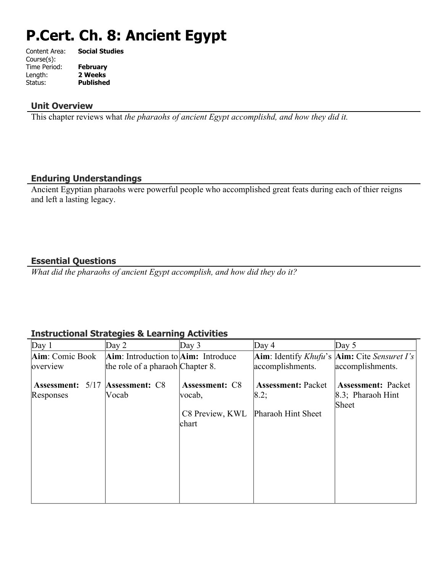# **P.Cert. Ch. 8: Ancient Egypt**

| Content Area: | <b>Social Studies</b> |
|---------------|-----------------------|
| Course(s):    |                       |
| Time Period:  | <b>February</b>       |
| Length:       | 2 Weeks               |
| Status:       | <b>Published</b>      |
|               |                       |

#### **Unit Overview**

This chapter reviews what *the pharaohs of ancient Egypt accomplishd, and how they did it.* 

### **Enduring Understandings**

Ancient Egyptian pharaohs were powerful people who accomplished great feats during each of thier reigns and left a lasting legacy.

## **Essential Questions**

*What did the pharaohs of ancient Egypt accomplish, and how did they do it?*

#### **Instructional Strategies & Learning Activities**

| Day $1$                 | Day $2$                             | Day $3$                  | Day $4$                   | Day $5$                                                                    |
|-------------------------|-------------------------------------|--------------------------|---------------------------|----------------------------------------------------------------------------|
| Aim: Comic Book         | Aim: Introduction to Aim: Introduce |                          |                           | <b>Aim</b> : Identify <i>Khufu</i> 's <b>Aim:</b> Cite <i>Sensuret I's</i> |
| overview                | the role of a pharaoh Chapter 8.    |                          | accomplishments.          | accomplishments.                                                           |
| <b>Assessment:</b> 5/17 | Assessment: C8                      | <b>Assessment: C8</b>    | <b>Assessment: Packet</b> | <b>Assessment: Packet</b>                                                  |
| Responses               | Vocab                               | vocab,                   | 8.2;                      | $\vert 8.3;$ Pharaoh Hint                                                  |
|                         |                                     | C8 Preview, KWL<br>chart | <b>Pharaoh Hint Sheet</b> | Sheet                                                                      |
|                         |                                     |                          |                           |                                                                            |
|                         |                                     |                          |                           |                                                                            |
|                         |                                     |                          |                           |                                                                            |
|                         |                                     |                          |                           |                                                                            |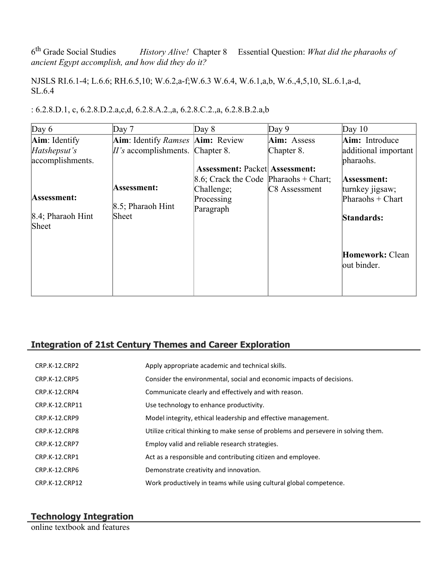6<sup>th</sup> Grade Social Studies History Alive! Chapter 8 Essential Question: *What did the pharaohs of ancient Egypt accomplish, and how did they do it?*

NJSLS RI.6.1-4; L.6.6; RH.6.5,10; W.6.2,a-f;W.6.3 W.6.4, W.6.1,a,b, W.6.,4,5,10, SL.6.1,a-d, SL.6.4

| Day $6$                          | Day $7$                             | Day $8$                                          | Day $9$       | Day $10$                          |
|----------------------------------|-------------------------------------|--------------------------------------------------|---------------|-----------------------------------|
| Aim: Identity                    | Aim: Identify Ramses Aim: Review    |                                                  | Aim: Assess   | Aim: Introduce                    |
| Hatshepsut's<br>accomplishments. | $II$ 's accomplishments. Chapter 8. |                                                  | Chapter 8.    | additional important<br>pharaohs. |
|                                  |                                     | <b>Assessment: Packet Assessment:</b>            |               |                                   |
|                                  |                                     | $\vert 8.6$ ; Crack the Code   Pharaohs + Chart; |               | Assessment:                       |
|                                  | <b>Assessment:</b>                  | Challenge;                                       | C8 Assessment | turnkey jigsaw;                   |
| Assessment:                      |                                     | Processing                                       |               | Pharaohs $+$ Chart                |
|                                  | $\vert 8.5$ ; Pharaoh Hint          | Paragraph                                        |               |                                   |
| $\vert 8.4$ ; Pharaoh Hint       | Sheet                               |                                                  |               | Standards:                        |
| Sheet                            |                                     |                                                  |               | Homework: Clean<br>out binder.    |

: 6.2.8.D.1, c, 6.2.8.D.2.a,c,d, 6.2.8.A.2.,a, 6.2.8.C.2.,a, 6.2.8.B.2.a,b

# **Integration of 21st Century Themes and Career Exploration**

| CRP.K-12.CRP2        | Apply appropriate academic and technical skills.                                   |
|----------------------|------------------------------------------------------------------------------------|
| <b>CRP.K-12.CRP5</b> | Consider the environmental, social and economic impacts of decisions.              |
| CRP.K-12.CRP4        | Communicate clearly and effectively and with reason.                               |
| CRP.K-12.CRP11       | Use technology to enhance productivity.                                            |
| CRP.K-12.CRP9        | Model integrity, ethical leadership and effective management.                      |
| CRP.K-12.CRP8        | Utilize critical thinking to make sense of problems and persevere in solving them. |
| <b>CRP.K-12.CRP7</b> | Employ valid and reliable research strategies.                                     |
| CRP.K-12.CRP1        | Act as a responsible and contributing citizen and employee.                        |
| CRP.K-12.CRP6        | Demonstrate creativity and innovation.                                             |
| CRP.K-12.CRP12       | Work productively in teams while using cultural global competence.                 |

### **Technology Integration**

online textbook and features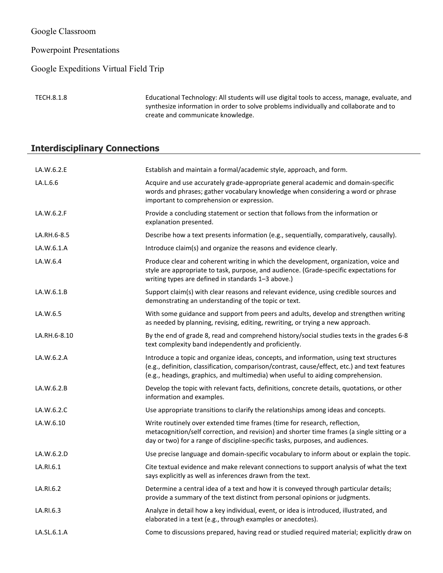Google Classroom

Powerpoint Presentations

Google Expeditions Virtual Field Trip

TECH.8.1.8 Educational Technology: All students will use digital tools to access, manage, evaluate, and synthesize information in order to solve problems individually and collaborate and to create and communicate knowledge.

# **Interdisciplinary Connections**

| LA.W.6.2.E   | Establish and maintain a formal/academic style, approach, and form.                                                                                                                                                                                                        |
|--------------|----------------------------------------------------------------------------------------------------------------------------------------------------------------------------------------------------------------------------------------------------------------------------|
| LA.L.6.6     | Acquire and use accurately grade-appropriate general academic and domain-specific<br>words and phrases; gather vocabulary knowledge when considering a word or phrase<br>important to comprehension or expression.                                                         |
| LA.W.6.2.F   | Provide a concluding statement or section that follows from the information or<br>explanation presented.                                                                                                                                                                   |
| LA.RH.6-8.5  | Describe how a text presents information (e.g., sequentially, comparatively, causally).                                                                                                                                                                                    |
| LA.W.6.1.A   | Introduce claim(s) and organize the reasons and evidence clearly.                                                                                                                                                                                                          |
| LA.W.6.4     | Produce clear and coherent writing in which the development, organization, voice and<br>style are appropriate to task, purpose, and audience. (Grade-specific expectations for<br>writing types are defined in standards 1-3 above.)                                       |
| LA.W.6.1.B   | Support claim(s) with clear reasons and relevant evidence, using credible sources and<br>demonstrating an understanding of the topic or text.                                                                                                                              |
| LA.W.6.5     | With some guidance and support from peers and adults, develop and strengthen writing<br>as needed by planning, revising, editing, rewriting, or trying a new approach.                                                                                                     |
| LA.RH.6-8.10 | By the end of grade 8, read and comprehend history/social studies texts in the grades 6-8<br>text complexity band independently and proficiently.                                                                                                                          |
| LA.W.6.2.A   | Introduce a topic and organize ideas, concepts, and information, using text structures<br>(e.g., definition, classification, comparison/contrast, cause/effect, etc.) and text features<br>(e.g., headings, graphics, and multimedia) when useful to aiding comprehension. |
| LA.W.6.2.B   | Develop the topic with relevant facts, definitions, concrete details, quotations, or other<br>information and examples.                                                                                                                                                    |
| LA.W.6.2.C   | Use appropriate transitions to clarify the relationships among ideas and concepts.                                                                                                                                                                                         |
| LA.W.6.10    | Write routinely over extended time frames (time for research, reflection,<br>metacognition/self correction, and revision) and shorter time frames (a single sitting or a<br>day or two) for a range of discipline-specific tasks, purposes, and audiences.                 |
| LA.W.6.2.D   | Use precise language and domain-specific vocabulary to inform about or explain the topic.                                                                                                                                                                                  |
| LA.RI.6.1    | Cite textual evidence and make relevant connections to support analysis of what the text<br>says explicitly as well as inferences drawn from the text.                                                                                                                     |
| LA.RI.6.2    | Determine a central idea of a text and how it is conveyed through particular details;<br>provide a summary of the text distinct from personal opinions or judgments.                                                                                                       |
| LA.RI.6.3    | Analyze in detail how a key individual, event, or idea is introduced, illustrated, and<br>elaborated in a text (e.g., through examples or anecdotes).                                                                                                                      |
| LA.SL.6.1.A  | Come to discussions prepared, having read or studied required material; explicitly draw on                                                                                                                                                                                 |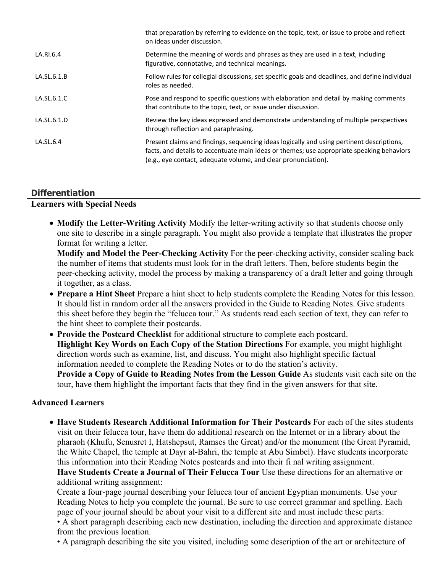|             | that preparation by referring to evidence on the topic, text, or issue to probe and reflect<br>on ideas under discussion.                                                                                                                                |
|-------------|----------------------------------------------------------------------------------------------------------------------------------------------------------------------------------------------------------------------------------------------------------|
| LA.RI.6.4   | Determine the meaning of words and phrases as they are used in a text, including<br>figurative, connotative, and technical meanings.                                                                                                                     |
| LA.SL.6.1.B | Follow rules for collegial discussions, set specific goals and deadlines, and define individual<br>roles as needed.                                                                                                                                      |
| LA.SL.6.1.C | Pose and respond to specific questions with elaboration and detail by making comments<br>that contribute to the topic, text, or issue under discussion.                                                                                                  |
| LA.SL.6.1.D | Review the key ideas expressed and demonstrate understanding of multiple perspectives<br>through reflection and paraphrasing.                                                                                                                            |
| LA.SL.6.4   | Present claims and findings, sequencing ideas logically and using pertinent descriptions,<br>facts, and details to accentuate main ideas or themes; use appropriate speaking behaviors<br>(e.g., eye contact, adequate volume, and clear pronunciation). |

# **Differentiation**

#### **Learners with Special Needs**

 **Modify the Letter-Writing Activity** Modify the letter-writing activity so that students choose only one site to describe in a single paragraph. You might also provide a template that illustrates the proper format for writing a letter.

**Modify and Model the Peer-Checking Activity** For the peer-checking activity, consider scaling back the number of items that students must look for in the draft letters. Then, before students begin the peer-checking activity, model the process by making a transparency of a draft letter and going through it together, as a class.

- **Prepare a Hint Sheet** Prepare a hint sheet to help students complete the Reading Notes for this lesson. It should list in random order all the answers provided in the Guide to Reading Notes. Give students this sheet before they begin the "felucca tour." As students read each section of text, they can refer to the hint sheet to complete their postcards.
- **Provide the Postcard Checklist** for additional structure to complete each postcard. **Highlight Key Words on Each Copy of the Station Directions** For example, you might highlight direction words such as examine, list, and discuss. You might also highlight specific factual information needed to complete the Reading Notes or to do the station's activity. **Provide a Copy of Guide to Reading Notes from the Lesson Guide** As students visit each site on the tour, have them highlight the important facts that they find in the given answers for that site.

#### **Advanced Learners**

 **Have Students Research Additional Information for Their Postcards** For each of the sites students visit on their felucca tour, have them do additional research on the Internet or in a library about the pharaoh (Khufu, Senusret I, Hatshepsut, Ramses the Great) and/or the monument (the Great Pyramid, the White Chapel, the temple at Dayr al-Bahri, the temple at Abu Simbel). Have students incorporate this information into their Reading Notes postcards and into their fi nal writing assignment. **Have Students Create a Journal of Their Felucca Tour** Use these directions for an alternative or additional writing assignment:

Create a four-page journal describing your felucca tour of ancient Egyptian monuments. Use your Reading Notes to help you complete the journal. Be sure to use correct grammar and spelling. Each page of your journal should be about your visit to a different site and must include these parts:

• A short paragraph describing each new destination, including the direction and approximate distance from the previous location.

• A paragraph describing the site you visited, including some description of the art or architecture of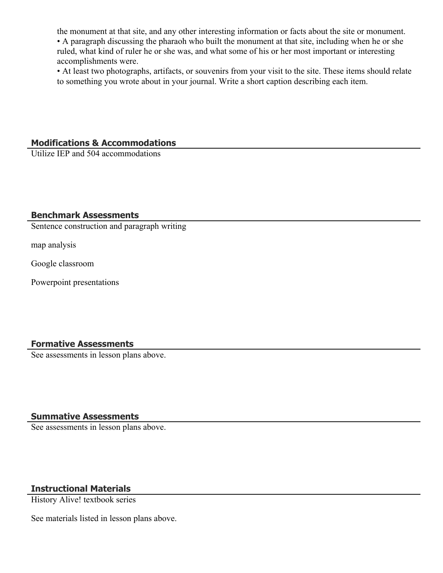the monument at that site, and any other interesting information or facts about the site or monument.

• A paragraph discussing the pharaoh who built the monument at that site, including when he or she ruled, what kind of ruler he or she was, and what some of his or her most important or interesting accomplishments were.

• At least two photographs, artifacts, or souvenirs from your visit to the site. These items should relate to something you wrote about in your journal. Write a short caption describing each item.

### **Modifications & Accommodations**

Utilize IEP and 504 accommodations

#### **Benchmark Assessments**

Sentence construction and paragraph writing

map analysis

Google classroom

Powerpoint presentations

## **Formative Assessments**

See assessments in lesson plans above.

#### **Summative Assessments**

See assessments in lesson plans above.

## **Instructional Materials**

History Alive! textbook series

See materials listed in lesson plans above.